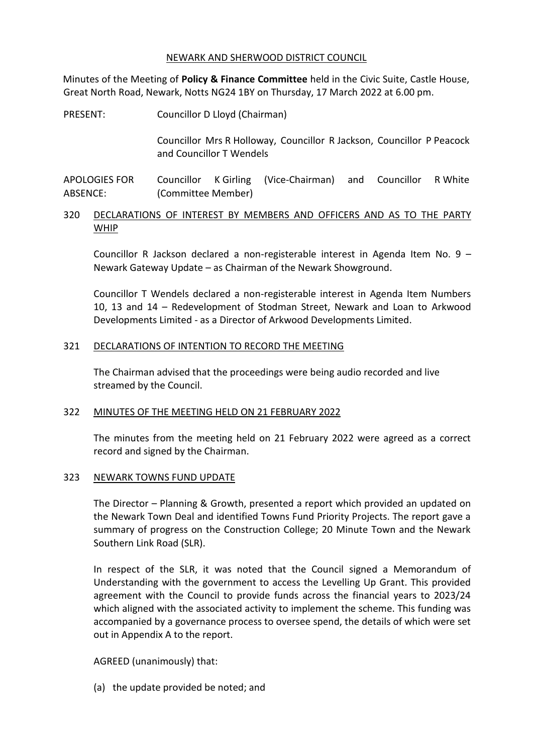### NEWARK AND SHERWOOD DISTRICT COUNCIL

Minutes of the Meeting of **Policy & Finance Committee** held in the Civic Suite, Castle House, Great North Road, Newark, Notts NG24 1BY on Thursday, 17 March 2022 at 6.00 pm.

PRESENT: Councillor D Lloyd (Chairman)

Councillor Mrs R Holloway, Councillor R Jackson, Councillor P Peacock and Councillor T Wendels

APOLOGIES FOR ABSENCE: Councillor K Girling (Vice-Chairman) and Councillor R White (Committee Member)

# 320 DECLARATIONS OF INTEREST BY MEMBERS AND OFFICERS AND AS TO THE PARTY WHIP

Councillor R Jackson declared a non-registerable interest in Agenda Item No. 9 – Newark Gateway Update – as Chairman of the Newark Showground.

Councillor T Wendels declared a non-registerable interest in Agenda Item Numbers 10, 13 and 14 – Redevelopment of Stodman Street, Newark and Loan to Arkwood Developments Limited - as a Director of Arkwood Developments Limited.

## 321 DECLARATIONS OF INTENTION TO RECORD THE MEETING

The Chairman advised that the proceedings were being audio recorded and live streamed by the Council.

## 322 MINUTES OF THE MEETING HELD ON 21 FEBRUARY 2022

The minutes from the meeting held on 21 February 2022 were agreed as a correct record and signed by the Chairman.

## 323 NEWARK TOWNS FUND UPDATE

The Director – Planning & Growth, presented a report which provided an updated on the Newark Town Deal and identified Towns Fund Priority Projects. The report gave a summary of progress on the Construction College; 20 Minute Town and the Newark Southern Link Road (SLR).

In respect of the SLR, it was noted that the Council signed a Memorandum of Understanding with the government to access the Levelling Up Grant. This provided agreement with the Council to provide funds across the financial years to 2023/24 which aligned with the associated activity to implement the scheme. This funding was accompanied by a governance process to oversee spend, the details of which were set out in Appendix A to the report.

AGREED (unanimously) that:

(a) the update provided be noted; and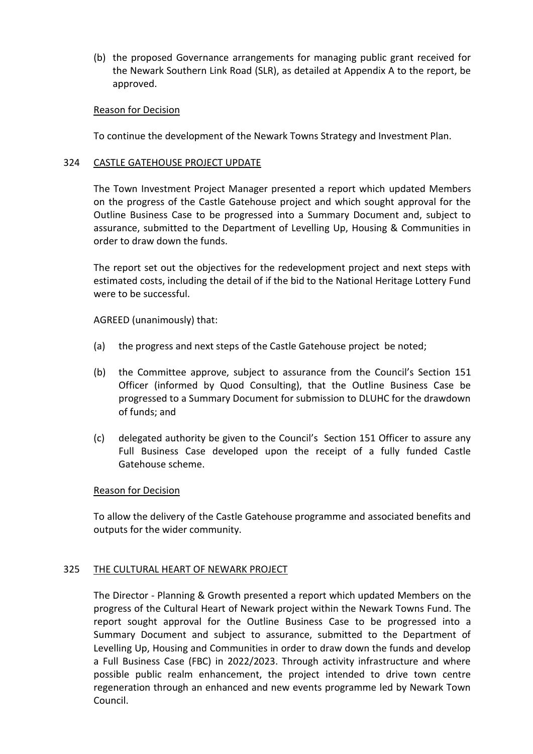(b) the proposed Governance arrangements for managing public grant received for the Newark Southern Link Road (SLR), as detailed at Appendix A to the report, be approved.

## Reason for Decision

To continue the development of the Newark Towns Strategy and Investment Plan.

## 324 CASTLE GATEHOUSE PROJECT UPDATE

The Town Investment Project Manager presented a report which updated Members on the progress of the Castle Gatehouse project and which sought approval for the Outline Business Case to be progressed into a Summary Document and, subject to assurance, submitted to the Department of Levelling Up, Housing & Communities in order to draw down the funds.

The report set out the objectives for the redevelopment project and next steps with estimated costs, including the detail of if the bid to the National Heritage Lottery Fund were to be successful.

AGREED (unanimously) that:

- (a) the progress and next steps of the Castle Gatehouse project be noted;
- (b) the Committee approve, subject to assurance from the Council's Section 151 Officer (informed by Quod Consulting), that the Outline Business Case be progressed to a Summary Document for submission to DLUHC for the drawdown of funds; and
- (c) delegated authority be given to the Council's Section 151 Officer to assure any Full Business Case developed upon the receipt of a fully funded Castle Gatehouse scheme.

## Reason for Decision

To allow the delivery of the Castle Gatehouse programme and associated benefits and outputs for the wider community.

## 325 THE CULTURAL HEART OF NEWARK PROJECT

The Director - Planning & Growth presented a report which updated Members on the progress of the Cultural Heart of Newark project within the Newark Towns Fund. The report sought approval for the Outline Business Case to be progressed into a Summary Document and subject to assurance, submitted to the Department of Levelling Up, Housing and Communities in order to draw down the funds and develop a Full Business Case (FBC) in 2022/2023. Through activity infrastructure and where possible public realm enhancement, the project intended to drive town centre regeneration through an enhanced and new events programme led by Newark Town Council.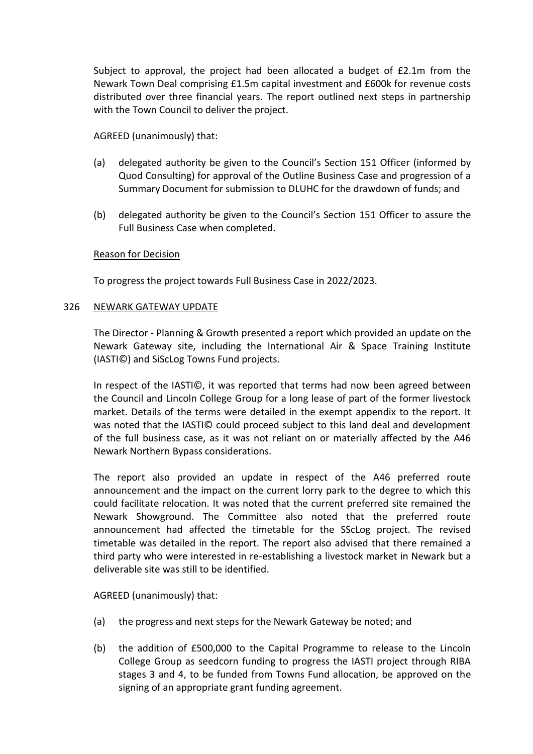Subject to approval, the project had been allocated a budget of £2.1m from the Newark Town Deal comprising £1.5m capital investment and £600k for revenue costs distributed over three financial years. The report outlined next steps in partnership with the Town Council to deliver the project.

AGREED (unanimously) that:

- (a) delegated authority be given to the Council's Section 151 Officer (informed by Quod Consulting) for approval of the Outline Business Case and progression of a Summary Document for submission to DLUHC for the drawdown of funds; and
- (b) delegated authority be given to the Council's Section 151 Officer to assure the Full Business Case when completed.

# Reason for Decision

To progress the project towards Full Business Case in 2022/2023.

## 326 NEWARK GATEWAY UPDATE

The Director - Planning & Growth presented a report which provided an update on the Newark Gateway site, including the International Air & Space Training Institute (IASTI©) and SiScLog Towns Fund projects.

In respect of the IASTI©, it was reported that terms had now been agreed between the Council and Lincoln College Group for a long lease of part of the former livestock market. Details of the terms were detailed in the exempt appendix to the report. It was noted that the IASTI© could proceed subject to this land deal and development of the full business case, as it was not reliant on or materially affected by the A46 Newark Northern Bypass considerations.

The report also provided an update in respect of the A46 preferred route announcement and the impact on the current lorry park to the degree to which this could facilitate relocation. It was noted that the current preferred site remained the Newark Showground. The Committee also noted that the preferred route announcement had affected the timetable for the SScLog project. The revised timetable was detailed in the report. The report also advised that there remained a third party who were interested in re-establishing a livestock market in Newark but a deliverable site was still to be identified.

AGREED (unanimously) that:

- (a) the progress and next steps for the Newark Gateway be noted; and
- (b) the addition of £500,000 to the Capital Programme to release to the Lincoln College Group as seedcorn funding to progress the IASTI project through RIBA stages 3 and 4, to be funded from Towns Fund allocation, be approved on the signing of an appropriate grant funding agreement.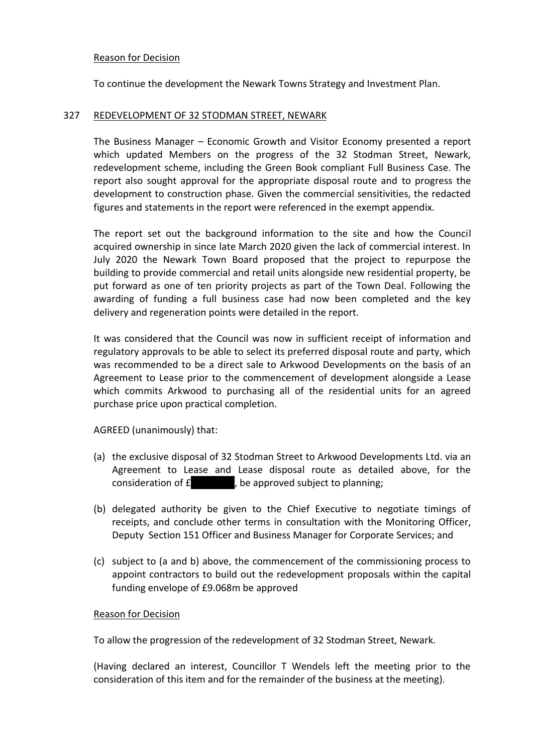## Reason for Decision

To continue the development the Newark Towns Strategy and Investment Plan.

## 327 REDEVELOPMENT OF 32 STODMAN STREET, NEWARK

The Business Manager – Economic Growth and Visitor Economy presented a report which updated Members on the progress of the 32 Stodman Street, Newark, redevelopment scheme, including the Green Book compliant Full Business Case. The report also sought approval for the appropriate disposal route and to progress the development to construction phase. Given the commercial sensitivities, the redacted figures and statements in the report were referenced in the exempt appendix.

The report set out the background information to the site and how the Council acquired ownership in since late March 2020 given the lack of commercial interest. In July 2020 the Newark Town Board proposed that the project to repurpose the building to provide commercial and retail units alongside new residential property, be put forward as one of ten priority projects as part of the Town Deal. Following the awarding of funding a full business case had now been completed and the key delivery and regeneration points were detailed in the report.

It was considered that the Council was now in sufficient receipt of information and regulatory approvals to be able to select its preferred disposal route and party, which was recommended to be a direct sale to Arkwood Developments on the basis of an Agreement to Lease prior to the commencement of development alongside a Lease which commits Arkwood to purchasing all of the residential units for an agreed purchase price upon practical completion.

AGREED (unanimously) that:

- (a) the exclusive disposal of 32 Stodman Street to Arkwood Developments Ltd. via an Agreement to Lease and Lease disposal route as detailed above, for the consideration of  $E$ , be approved subject to planning;
- (b) delegated authority be given to the Chief Executive to negotiate timings of receipts, and conclude other terms in consultation with the Monitoring Officer, Deputy Section 151 Officer and Business Manager for Corporate Services; and
- (c) subject to (a and b) above, the commencement of the commissioning process to appoint contractors to build out the redevelopment proposals within the capital funding envelope of £9.068m be approved

## Reason for Decision

To allow the progression of the redevelopment of 32 Stodman Street, Newark.

(Having declared an interest, Councillor T Wendels left the meeting prior to the consideration of this item and for the remainder of the business at the meeting).